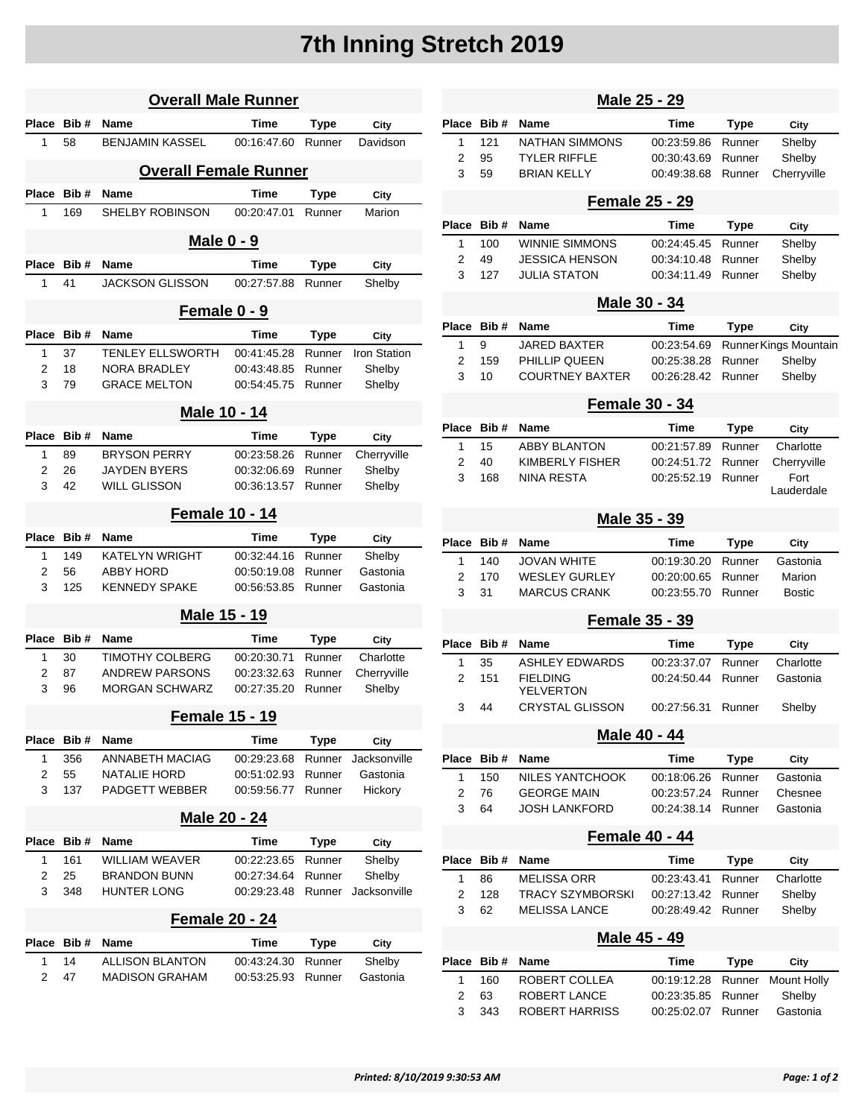## **7th Inning Stretch 2019**

| <b>Overall Male Runner</b> |                   |                                           |                            |                  |                        |  |  |
|----------------------------|-------------------|-------------------------------------------|----------------------------|------------------|------------------------|--|--|
| <b>Place</b>               | Bib#              | Name                                      | Time                       | Type             | City                   |  |  |
| 1                          | 58                | <b>BENJAMIN KASSEL</b>                    | 00:16:47.60                | Runner           | Davidson               |  |  |
|                            |                   | <b>Overall Female Runner</b>              |                            |                  |                        |  |  |
| Place                      | Bib#              | Name                                      | <b>Time</b>                | Type             | City                   |  |  |
| 1                          | 169               | <b>SHELBY ROBINSON</b>                    | 00:20:47.01                | Runner           | Marion                 |  |  |
|                            | <b>Male 0 - 9</b> |                                           |                            |                  |                        |  |  |
| <b>Place</b>               | Bib#              | <b>Name</b>                               | Time                       | Type             | City                   |  |  |
| 1                          | 41                | <b>JACKSON GLISSON</b>                    | 00:27:57.88                | Runner           | Shelby                 |  |  |
| Female 0 - 9               |                   |                                           |                            |                  |                        |  |  |
| Place                      | Bib#              | <b>Name</b>                               | Time                       | Type             | City                   |  |  |
| 1                          | 37                | <b>TENLEY ELLSWORTH</b>                   | 00:41:45.28                | Runner           | Iron Station           |  |  |
| 2                          | 18                | <b>NORA BRADLEY</b>                       | 00:43:48.85                | Runner           | Shelby                 |  |  |
| 3                          | 79                | <b>GRACE MELTON</b>                       | 00:54:45.75                | Runner           | Shelby                 |  |  |
| Male 10 - 14               |                   |                                           |                            |                  |                        |  |  |
| <b>Place</b>               | Bib#              | <b>Name</b>                               | Time                       | Type             | City                   |  |  |
| 1                          | 89                | <b>BRYSON PERRY</b>                       | 00:23:58.26                | Runner           | Cherryville            |  |  |
| 2                          | 26                | <b>JAYDEN BYERS</b>                       | 00:32:06.69                | Runner           | Shelby                 |  |  |
| 3                          | 42                | <b>WILL GLISSON</b>                       | 00:36:13.57                | Runner           | Shelby                 |  |  |
|                            |                   | <b>Female 10 - 14</b>                     |                            |                  |                        |  |  |
| Place                      | Bib#              | <b>Name</b>                               | Time                       | Type             | City                   |  |  |
| 1                          | 149               | KATELYN WRIGHT                            | 00:32:44.16                | Runner           | Shelby                 |  |  |
| 2                          | 56                | <b>ABBY HORD</b>                          | 00:50:19.08                | Runner           | Gastonia               |  |  |
| 3                          | 125               | <b>KENNEDY SPAKE</b>                      | 00:56:53.85                | Runner           | Gastonia               |  |  |
|                            |                   | Male 15 - 19                              |                            |                  |                        |  |  |
| Place                      | Bib#              | <b>Name</b>                               | <b>Time</b>                | Type             | City                   |  |  |
| 1                          | 30                | TIMOTHY COLBERG                           | 00:20:30.71                | Runner           | Charlotte              |  |  |
| 2                          | 87                | <b>ANDREW PARSONS</b>                     | 00:23:32.63                | Runner           | Cherryville            |  |  |
| 3                          | 96                | <b>MORGAN SCHWARZ</b>                     | 00:27:35.20                | Runner           | Shelby                 |  |  |
| <u>Female 15 - 19</u>      |                   |                                           |                            |                  |                        |  |  |
| Place Bib#                 |                   | Name                                      | Time                       | Type             | City                   |  |  |
| 1                          | 356               | <b>ANNABETH MACIAG</b>                    | 00:29:23.68                | Runner           | Jacksonville           |  |  |
| 2<br>3                     | 55<br>137         | NATALIE HORD<br><b>PADGETT WEBBER</b>     | 00:51:02.93<br>00:59:56.77 | Runner<br>Runner | Gastonia<br>Hickory    |  |  |
|                            |                   |                                           |                            |                  |                        |  |  |
| Male 20 - 24               |                   |                                           |                            |                  |                        |  |  |
| <b>Place</b>               | Bib#              | Name                                      | Time                       | Type             | City                   |  |  |
| 1                          | 161               | <b>WILLIAM WEAVER</b>                     | 00:22:23.65                | Runner           | Shelby                 |  |  |
| 2<br>3                     | 25<br>348         | <b>BRANDON BUNN</b><br><b>HUNTER LONG</b> | 00:27:34.64<br>00:29:23.48 | Runner<br>Runner | Shelby<br>Jacksonville |  |  |
|                            |                   |                                           |                            |                  |                        |  |  |
| Female 20 - 24             |                   |                                           |                            |                  |                        |  |  |
| Place                      | Bib#              | Name                                      | Time                       | Type             | City                   |  |  |
| 1                          | 14                | <b>ALLISON BLANTON</b>                    | 00:43:24.30                | Runner           | Shelby                 |  |  |
| 2                          | 47                | MADISON GRAHAM                            | 00:53:25.93                | Runner           | Gastonia               |  |  |
|                            |                   |                                           |                            |                  |                        |  |  |

| <u>Male 25 - 29</u>   |           |                                             |                            |                       |                                 |  |
|-----------------------|-----------|---------------------------------------------|----------------------------|-----------------------|---------------------------------|--|
| Place                 | Bib#      | <b>Name</b>                                 | Time                       | <b>Type</b>           | City                            |  |
| 1                     | 121       | <b>NATHAN SIMMONS</b>                       | 00:23:59.86                | Runner                | Shelby                          |  |
| 2                     | 95        | <b>TYLER RIFFLE</b>                         | 00:30:43.69                | Runner                | Shelby                          |  |
| 3                     | 59        | <b>BRIAN KELLY</b>                          | 00:49:38.68                | Runner                | Cherryville                     |  |
|                       |           | <b>Female 25 - 29</b>                       |                            |                       |                                 |  |
| Place                 | Bib#      | Name                                        | Time                       | Type                  | City                            |  |
| 1                     | 100       | <b>WINNIE SIMMONS</b>                       | 00:24:45.45                | Runner                | Shelby                          |  |
| 2<br>3                | 49<br>127 | JESSICA HENSON<br><b>JULIA STATON</b>       | 00:34:10.48<br>00:34:11.49 | Runner<br>Runner      | Shelby<br>Shelby                |  |
|                       |           |                                             |                            |                       |                                 |  |
|                       |           | Male 30 - 34                                |                            |                       |                                 |  |
| Place                 | Bib#      | Name                                        | Time                       | Type                  | City                            |  |
| 1<br>2                | 9<br>159  | JARED BAXTER<br>PHILLIP QUEEN               | 00:23:54.69<br>00:25:38.28 | Runner                | Runner Kings Mountain<br>Shelby |  |
| 3                     | 10        | <b>COURTNEY BAXTER</b>                      | 00:26:28.42                | Runner                | Shelby                          |  |
| <b>Female 30 - 34</b> |           |                                             |                            |                       |                                 |  |
| Place                 | Bib#      | Name                                        | Time                       | <b>Type</b>           | City                            |  |
| 1                     | 15        | ABBY BLANTON                                | 00:21:57.89                | Runner                | Charlotte                       |  |
| 2                     | 40        | KIMBERLY FISHER                             | 00:24:51.72                | Runner                | Cherryville                     |  |
| 3                     | 168       | NINA RESTA                                  | 00:25:52.19                | Runner                | Fort                            |  |
|                       |           |                                             |                            |                       | Lauderdale                      |  |
|                       |           | Male 35 - 39                                |                            |                       |                                 |  |
| Place                 | Bib#      | <b>Name</b>                                 | Time                       | <b>Type</b>           | City                            |  |
| 1                     | 140       | <b>JOVAN WHITE</b>                          | 00:19:30.20                | Runner                | Gastonia                        |  |
| 2<br>3                | 170<br>31 | <b>WESLEY GURLEY</b><br><b>MARCUS CRANK</b> | 00:20:00.65<br>00:23:55.70 | Runner                | Marion                          |  |
|                       |           |                                             |                            | Runner                | <b>Bostic</b>                   |  |
| <b>Female 35 - 39</b> |           |                                             |                            |                       |                                 |  |
| Place                 | Bib#      | Name                                        | Time                       | <b>Type</b>           | City                            |  |
| 1                     | 35        | <b>ASHLEY EDWARDS</b>                       | 00:23:37.07                | Runner                | Charlotte                       |  |
| 2                     | 151       | FIELDING<br>YELVERTON                       | 00:24:50.44                | Runner                | Gastonia                        |  |
| 3                     | 44        | <b>CRYSTAL GLISSON</b>                      | 00:27:56.31                | Runner                | Shelby                          |  |
|                       |           | Male 40 - 44                                |                            |                       |                                 |  |
| Place                 | Bib#      | Name                                        | Time                       |                       |                                 |  |
| 1                     | 150       | NILES YANTCHOOK                             | 00:18:06.26                | <b>Type</b><br>Runner | City<br>Gastonia                |  |
| 2                     | 76        | <b>GEORGE MAIN</b>                          | 00:23:57.24                | Runner                | Chesnee                         |  |
| 3                     | 64        | <b>JOSH LANKFORD</b>                        | 00:24:38.14                | Runner                | Gastonia                        |  |
| <b>Female 40 - 44</b> |           |                                             |                            |                       |                                 |  |
| Place                 | Bib#      | Name                                        | Time                       | <b>Type</b>           | City                            |  |
| 1                     | 86        | MELISSA ORR                                 | 00:23:43.41                | Runner                | Charlotte                       |  |
| 2                     | 128       | TRACY SZYMBORSKI                            | 00:27:13.42                | Runner                | Shelby                          |  |
| 3                     | 62        | <b>MELISSA LANCE</b>                        | 00:28:49.42                | Runner                | Shelby                          |  |
| Male 45 - 49          |           |                                             |                            |                       |                                 |  |
| Place                 | Bib#      | Name                                        | Time                       | <b>Type</b>           | City                            |  |
| 1                     | 160       | ROBERT COLLEA                               | 00:19:12.28                | Runner                | <b>Mount Holly</b>              |  |
| 2                     | 63        | ROBERT LANCE                                | 00:23:35.85                | Runner                | Shelby                          |  |
| 3                     | 343       | ROBERT HARRISS                              | 00:25:02.07                | Runner                | Gastonia                        |  |
|                       |           |                                             |                            |                       |                                 |  |